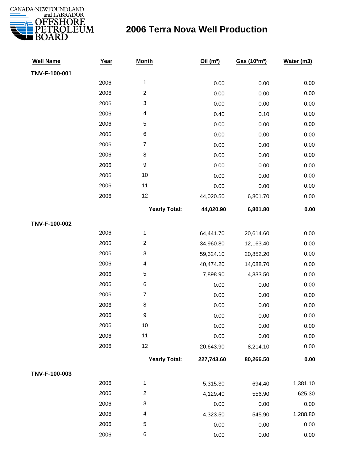

| <b>Well Name</b> | Year | <b>Month</b>             | Oil $(m^3)$ | Gas (103m3) | Water (m3) |
|------------------|------|--------------------------|-------------|-------------|------------|
| TNV-F-100-001    |      |                          |             |             |            |
|                  | 2006 | 1                        | 0.00        | 0.00        | 0.00       |
|                  | 2006 | $\overline{2}$           | 0.00        | 0.00        | 0.00       |
|                  | 2006 | 3                        | 0.00        | 0.00        | 0.00       |
|                  | 2006 | 4                        | 0.40        | 0.10        | 0.00       |
|                  | 2006 | $\mathbf 5$              | 0.00        | 0.00        | 0.00       |
|                  | 2006 | $\,6$                    | 0.00        | 0.00        | 0.00       |
|                  | 2006 | $\overline{7}$           | 0.00        | 0.00        | 0.00       |
|                  | 2006 | $\,8\,$                  | 0.00        | 0.00        | 0.00       |
|                  | 2006 | $\boldsymbol{9}$         | 0.00        | 0.00        | 0.00       |
|                  | 2006 | 10                       | 0.00        | 0.00        | 0.00       |
|                  | 2006 | 11                       | 0.00        | 0.00        | 0.00       |
|                  | 2006 | 12                       | 44,020.50   | 6,801.70    | 0.00       |
|                  |      | <b>Yearly Total:</b>     | 44,020.90   | 6,801.80    | 0.00       |
| TNV-F-100-002    |      |                          |             |             |            |
|                  | 2006 | $\mathbf 1$              | 64,441.70   | 20,614.60   | 0.00       |
|                  | 2006 | $\overline{c}$           | 34,960.80   | 12,163.40   | 0.00       |
|                  | 2006 | 3                        | 59,324.10   | 20,852.20   | 0.00       |
|                  | 2006 | $\overline{\mathcal{A}}$ | 40,474.20   | 14,088.70   | 0.00       |
|                  | 2006 | 5                        | 7,898.90    | 4,333.50    | 0.00       |
|                  | 2006 | $\,6$                    | 0.00        | 0.00        | 0.00       |
|                  | 2006 | $\overline{7}$           | 0.00        | 0.00        | 0.00       |
|                  | 2006 | $\bf 8$                  | 0.00        | 0.00        | 0.00       |
|                  | 2006 | $\boldsymbol{9}$         | 0.00        | 0.00        | 0.00       |
|                  | 2006 | 10                       | 0.00        | 0.00        | 0.00       |
|                  | 2006 | 11                       | 0.00        | 0.00        | 0.00       |
|                  | 2006 | 12                       | 20,643.90   | 8,214.10    | 0.00       |
|                  |      | <b>Yearly Total:</b>     | 227,743.60  | 80,266.50   | 0.00       |
| TNV-F-100-003    |      |                          |             |             |            |
|                  | 2006 | 1                        | 5,315.30    | 694.40      | 1,381.10   |
|                  | 2006 | $\overline{c}$           | 4,129.40    | 556.90      | 625.30     |
|                  | 2006 | 3                        | 0.00        | 0.00        | 0.00       |
|                  | 2006 | 4                        | 4,323.50    | 545.90      | 1,288.80   |
|                  | 2006 | $\,$ 5 $\,$              | 0.00        | 0.00        | 0.00       |
|                  | 2006 | 6                        | 0.00        | 0.00        | 0.00       |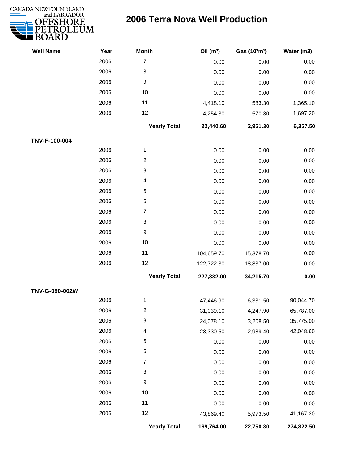

| <b>Well Name</b> | Year | <b>Month</b>            | Oil $(m^3)$ | Gas (103m3) | Water (m3) |
|------------------|------|-------------------------|-------------|-------------|------------|
|                  | 2006 | $\overline{7}$          | 0.00        | 0.00        | 0.00       |
|                  | 2006 | 8                       | 0.00        | 0.00        | 0.00       |
|                  | 2006 | $\boldsymbol{9}$        | 0.00        | 0.00        | 0.00       |
|                  | 2006 | 10                      | 0.00        | 0.00        | 0.00       |
|                  | 2006 | 11                      | 4,418.10    | 583.30      | 1,365.10   |
|                  | 2006 | 12                      | 4,254.30    | 570.80      | 1,697.20   |
|                  |      | <b>Yearly Total:</b>    | 22,440.60   | 2,951.30    | 6,357.50   |
| TNV-F-100-004    |      |                         |             |             |            |
|                  | 2006 | $\mathbf{1}$            | 0.00        | 0.00        | 0.00       |
|                  | 2006 | $\overline{\mathbf{c}}$ | 0.00        | 0.00        | 0.00       |
|                  | 2006 | 3                       | 0.00        | 0.00        | 0.00       |
|                  | 2006 | 4                       | 0.00        | 0.00        | 0.00       |
|                  | 2006 | 5                       | 0.00        | 0.00        | 0.00       |
|                  | 2006 | 6                       | 0.00        | 0.00        | 0.00       |
|                  | 2006 | $\overline{7}$          | 0.00        | 0.00        | 0.00       |
|                  | 2006 | $\,8\,$                 | 0.00        | 0.00        | 0.00       |
|                  | 2006 | $\boldsymbol{9}$        | 0.00        | 0.00        | 0.00       |
|                  | 2006 | 10                      | 0.00        | 0.00        | 0.00       |
|                  | 2006 | 11                      | 104,659.70  | 15,378.70   | 0.00       |
|                  | 2006 | 12                      | 122,722.30  | 18,837.00   | 0.00       |
|                  |      | <b>Yearly Total:</b>    | 227,382.00  | 34,215.70   | 0.00       |
| TNV-G-090-002W   |      |                         |             |             |            |
|                  | 2006 | $\mathbf{1}$            | 47,446.90   | 6,331.50    | 90,044.70  |
|                  | 2006 | 2                       | 31,039.10   | 4,247.90    | 65,787.00  |
|                  | 2006 | 3                       | 24,078.10   | 3,208.50    | 35,775.00  |
|                  | 2006 | 4                       | 23,330.50   | 2,989.40    | 42,048.60  |
|                  | 2006 | 5                       | 0.00        | 0.00        | 0.00       |
|                  | 2006 | 6                       | 0.00        | 0.00        | 0.00       |
|                  | 2006 | $\overline{7}$          | 0.00        | 0.00        | 0.00       |
|                  | 2006 | 8                       | 0.00        | 0.00        | 0.00       |
|                  | 2006 | $\boldsymbol{9}$        | 0.00        | 0.00        | 0.00       |
|                  | 2006 | 10                      | 0.00        | 0.00        | 0.00       |
|                  | 2006 | 11                      | 0.00        | 0.00        | 0.00       |
|                  | 2006 | 12                      | 43,869.40   | 5,973.50    | 41,167.20  |
|                  |      | <b>Yearly Total:</b>    | 169,764.00  | 22,750.80   | 274,822.50 |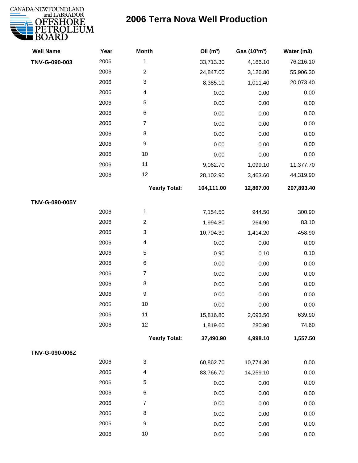

| <b>Well Name</b> | Year | <b>Month</b>         | Oil(m <sup>3</sup> ) | Gas (103m3) | Water (m3) |
|------------------|------|----------------------|----------------------|-------------|------------|
| TNV-G-090-003    | 2006 | $\mathbf 1$          | 33,713.30            | 4,166.10    | 76,216.10  |
|                  | 2006 | $\overline{c}$       | 24,847.00            | 3,126.80    | 55,906.30  |
|                  | 2006 | 3                    | 8,385.10             | 1,011.40    | 20,073.40  |
|                  | 2006 | 4                    | 0.00                 | 0.00        | 0.00       |
|                  | 2006 | 5                    | 0.00                 | 0.00        | 0.00       |
|                  | 2006 | 6                    | 0.00                 | 0.00        | 0.00       |
|                  | 2006 | $\overline{7}$       | 0.00                 | 0.00        | 0.00       |
|                  | 2006 | 8                    | 0.00                 | 0.00        | 0.00       |
|                  | 2006 | $\boldsymbol{9}$     | 0.00                 | 0.00        | 0.00       |
|                  | 2006 | 10                   | 0.00                 | 0.00        | 0.00       |
|                  | 2006 | 11                   | 9,062.70             | 1,099.10    | 11,377.70  |
|                  | 2006 | 12                   | 28,102.90            | 3,463.60    | 44,319.90  |
|                  |      | <b>Yearly Total:</b> | 104,111.00           | 12,867.00   | 207,893.40 |
| TNV-G-090-005Y   |      |                      |                      |             |            |
|                  | 2006 | 1                    | 7,154.50             | 944.50      | 300.90     |
|                  | 2006 | $\overline{c}$       | 1,994.80             | 264.90      | 83.10      |
|                  | 2006 | 3                    | 10,704.30            | 1,414.20    | 458.90     |
|                  | 2006 | 4                    | 0.00                 | 0.00        | 0.00       |
|                  | 2006 | 5                    | 0.90                 | 0.10        | 0.10       |
|                  | 2006 | 6                    | 0.00                 | 0.00        | 0.00       |
|                  | 2006 | $\overline{7}$       | 0.00                 | 0.00        | 0.00       |
|                  | 2006 | 8                    | 0.00                 | 0.00        | 0.00       |
|                  | 2006 | $\boldsymbol{9}$     | 0.00                 | 0.00        | 0.00       |
|                  | 2006 | $10$                 | 0.00                 | 0.00        | 0.00       |
|                  | 2006 | 11                   | 15,816.80            | 2,093.50    | 639.90     |
|                  | 2006 | 12                   | 1,819.60             | 280.90      | 74.60      |
|                  |      | <b>Yearly Total:</b> | 37,490.90            | 4,998.10    | 1,557.50   |
| TNV-G-090-006Z   |      |                      |                      |             |            |
|                  | 2006 | 3                    | 60,862.70            | 10,774.30   | 0.00       |
|                  | 2006 | 4                    | 83,766.70            | 14,259.10   | 0.00       |
|                  | 2006 | 5                    | 0.00                 | 0.00        | 0.00       |
|                  | 2006 | 6                    | 0.00                 | 0.00        | 0.00       |
|                  | 2006 | $\boldsymbol{7}$     | 0.00                 | 0.00        | 0.00       |
|                  | 2006 | 8                    | 0.00                 | 0.00        | 0.00       |
|                  | 2006 | $\boldsymbol{9}$     | 0.00                 | 0.00        | 0.00       |
|                  | 2006 | $10$                 | 0.00                 | 0.00        | 0.00       |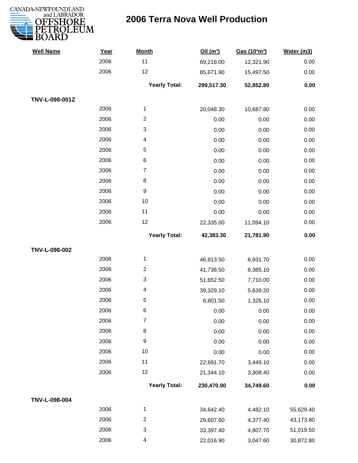

| <b>Well Name</b> | Year | <b>Month</b>             | Oil(m <sup>3</sup> ) | Gas (103m <sup>3</sup> ) | Water (m3) |
|------------------|------|--------------------------|----------------------|--------------------------|------------|
|                  | 2006 | 11                       | 69,216.00            | 12,321.90                | 0.00       |
|                  | 2006 | 12                       | 85,671.90            | 15,497.50                | 0.00       |
|                  |      | <b>Yearly Total:</b>     | 299,517.30           | 52,852.80                | 0.00       |
| TNV-L-098-001Z   |      |                          |                      |                          |            |
|                  | 2006 | $\mathbf{1}$             | 20,048.30            | 10,687.80                | 0.00       |
|                  | 2006 | $\sqrt{2}$               | 0.00                 | 0.00                     | 0.00       |
|                  | 2006 | 3                        | 0.00                 | 0.00                     | 0.00       |
|                  | 2006 | $\overline{\mathbf{4}}$  | 0.00                 | 0.00                     | 0.00       |
|                  | 2006 | 5                        | 0.00                 | 0.00                     | 0.00       |
|                  | 2006 | $\,6$                    | 0.00                 | 0.00                     | 0.00       |
|                  | 2006 | $\overline{7}$           | 0.00                 | 0.00                     | 0.00       |
|                  | 2006 | 8                        | 0.00                 | 0.00                     | 0.00       |
|                  | 2006 | $\boldsymbol{9}$         | 0.00                 | 0.00                     | 0.00       |
|                  | 2006 | 10                       | 0.00                 | 0.00                     | 0.00       |
|                  | 2006 | 11                       | 0.00                 | 0.00                     | 0.00       |
|                  | 2006 | 12                       | 22,335.00            | 11,094.10                | 0.00       |
|                  |      | <b>Yearly Total:</b>     | 42,383.30            | 21,781.90                | 0.00       |
| TNV-L-098-002    |      |                          |                      |                          |            |
|                  | 2006 | $\mathbf{1}$             | 46,913.50            | 6,931.70                 | 0.00       |
|                  | 2006 | $\overline{2}$           | 41,738.50            | 6,385.10                 | 0.00       |
|                  | 2006 | 3                        | 51,652.50            | 7,710.00                 | 0.00       |
|                  | 2006 | 4                        | 39,329.10            | 5,639.20                 | 0.00       |
|                  | 2006 | $\sqrt{5}$               | 6,801.50             | 1,326.10                 | 0.00       |
|                  | 2006 | 6                        | 0.00                 | 0.00                     | 0.00       |
|                  | 2006 | $\overline{7}$           | 0.00                 | 0.00                     | 0.00       |
|                  | 2006 | $\,8\,$                  | 0.00                 | 0.00                     | 0.00       |
|                  | 2006 | $\boldsymbol{9}$         | 0.00                 | 0.00                     | 0.00       |
|                  | 2006 | 10                       | 0.00                 | 0.00                     | 0.00       |
|                  | 2006 | 11                       | 22,691.70            | 3,449.10                 | 0.00       |
|                  | 2006 | 12                       | 21,344.10            | 3,308.40                 | 0.00       |
|                  |      | <b>Yearly Total:</b>     | 230,470.90           | 34,749.60                | 0.00       |
| TNV-L-098-004    |      |                          |                      |                          |            |
|                  | 2006 | $\mathbf{1}$             | 34,642.40            | 4,482.10                 | 55,629.40  |
|                  | 2006 | $\overline{2}$           | 29,607.60            | 4,377.40                 | 43,173.80  |
|                  | 2006 | 3                        | 33,397.40            | 4,807.70                 | 51,019.50  |
|                  | 2006 | $\overline{\mathcal{A}}$ | 22,016.90            | 3,047.60                 | 30,872.80  |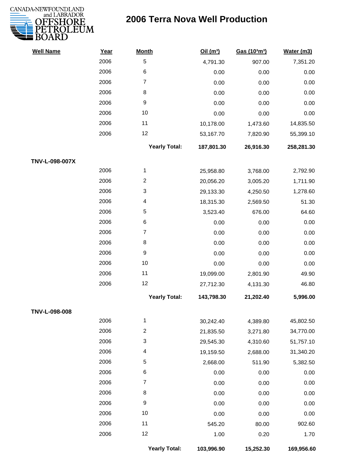

| <b>Well Name</b> | Year | <b>Month</b>            | Oil(m <sup>3</sup> ) | Gas (103m3) | Water (m3) |
|------------------|------|-------------------------|----------------------|-------------|------------|
|                  | 2006 | $\sqrt{5}$              | 4,791.30             | 907.00      | 7,351.20   |
|                  | 2006 | $\,6$                   | 0.00                 | 0.00        | 0.00       |
|                  | 2006 | $\overline{7}$          | 0.00                 | 0.00        | 0.00       |
|                  | 2006 | 8                       | 0.00                 | 0.00        | 0.00       |
|                  | 2006 | 9                       | 0.00                 | 0.00        | 0.00       |
|                  | 2006 | 10                      | 0.00                 | 0.00        | 0.00       |
|                  | 2006 | 11                      | 10,178.00            | 1,473.60    | 14,835.50  |
|                  | 2006 | 12                      | 53,167.70            | 7,820.90    | 55,399.10  |
|                  |      | <b>Yearly Total:</b>    | 187,801.30           | 26,916.30   | 258,281.30 |
| TNV-L-098-007X   |      |                         |                      |             |            |
|                  | 2006 | 1                       | 25,958.80            | 3,768.00    | 2,792.90   |
|                  | 2006 | $\boldsymbol{2}$        | 20,056.20            | 3,005.20    | 1,711.90   |
|                  | 2006 | 3                       | 29,133.30            | 4,250.50    | 1,278.60   |
|                  | 2006 | $\overline{\mathbf{4}}$ | 18,315.30            | 2,569.50    | 51.30      |
|                  | 2006 | $\sqrt{5}$              | 3,523.40             | 676.00      | 64.60      |
|                  | 2006 | 6                       | 0.00                 | 0.00        | 0.00       |
|                  | 2006 | $\overline{7}$          | 0.00                 | 0.00        | 0.00       |
|                  | 2006 | 8                       | 0.00                 | 0.00        | 0.00       |
|                  | 2006 | $\boldsymbol{9}$        | 0.00                 | 0.00        | 0.00       |
|                  | 2006 | 10                      | 0.00                 | 0.00        | 0.00       |
|                  | 2006 | 11                      | 19,099.00            | 2,801.90    | 49.90      |
|                  | 2006 | 12                      | 27,712.30            | 4,131.30    | 46.80      |
|                  |      | <b>Yearly Total:</b>    | 143,798.30           | 21,202.40   | 5,996.00   |
| TNV-L-098-008    |      |                         |                      |             |            |
|                  | 2006 | $\mathbf 1$             | 30,242.40            | 4,389.80    | 45,802.50  |
|                  | 2006 | $\boldsymbol{2}$        | 21,835.50            | 3,271.80    | 34,770.00  |
|                  | 2006 | 3                       | 29,545.30            | 4,310.60    | 51,757.10  |
|                  | 2006 | $\overline{\mathbf{4}}$ | 19,159.50            | 2,688.00    | 31,340.20  |
|                  | 2006 | $\sqrt{5}$              | 2,668.00             | 511.90      | 5,382.50   |
|                  | 2006 | 6                       | 0.00                 | 0.00        | 0.00       |
|                  | 2006 | $\overline{7}$          | 0.00                 | 0.00        | 0.00       |
|                  | 2006 | 8                       | 0.00                 | 0.00        | 0.00       |
|                  | 2006 | $\boldsymbol{9}$        | 0.00                 | 0.00        | 0.00       |
|                  | 2006 | 10                      | 0.00                 | 0.00        | 0.00       |
|                  | 2006 | 11                      | 545.20               | 80.00       | 902.60     |
|                  | 2006 | 12                      | 1.00                 | 0.20        | 1.70       |
|                  |      |                         |                      |             |            |

**Yearly Total: 103,996.90 15,252.30 169,956.60**